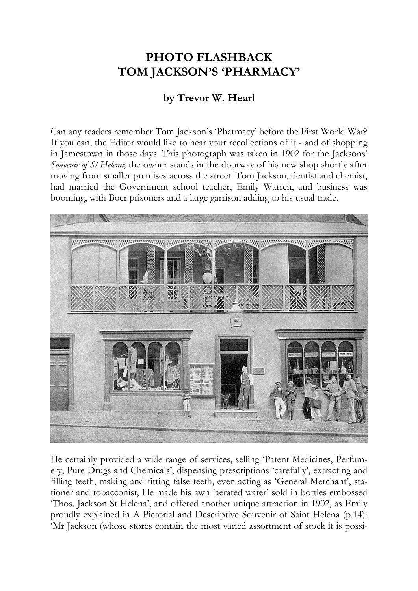## **PHOTO FLASHBACK TOM JACKSON'S 'PHARMACY'**

## **by Trevor W. Hearl**

Can any readers remember Tom Jackson's 'Pharmacy' before the First World War? If you can, the Editor would like to hear your recollections of it - and of shopping in Jamestown in those days. This photograph was taken in 1902 for the Jacksons' *Souvenir of St Helena*; the owner stands in the doorway of his new shop shortly after moving from smaller premises across the street. Tom Jackson, dentist and chemist, had married the Government school teacher, Emily Warren, and business was booming, with Boer prisoners and a large garrison adding to his usual trade.



He certainly provided a wide range of services, selling 'Patent Medicines, Perfumery, Pure Drugs and Chemicals', dispensing prescriptions 'carefully', extracting and filling teeth, making and fitting false teeth, even acting as 'General Merchant', stationer and tobacconist, He made his awn 'aerated water' sold in bottles embossed 'Thos. Jackson St Helena', and offered another unique attraction in 1902, as Emily proudly explained in A Pictorial and Descriptive Souvenir of Saint Helena (p.14): 'Mr Jackson (whose stores contain the most varied assortment of stock it is possi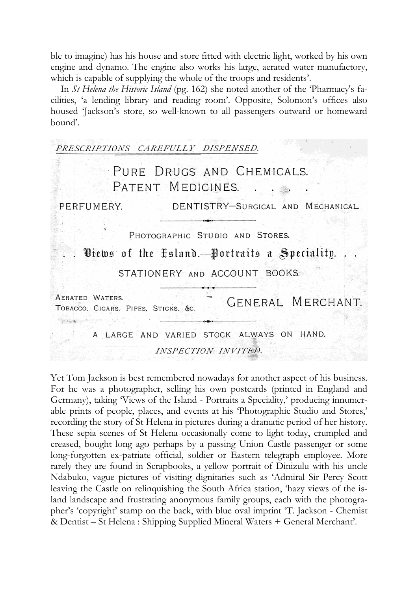ble to imagine) has his house and store fitted with electric light, worked by his own engine and dynamo. The engine also works his large, aerated water manufactory, which is capable of supplying the whole of the troops and residents'.

In *St Helena the Historic Island* (pg. 162) she noted another of the 'Pharmacy's facilities, 'a lending library and reading room'. Opposite, Solomon's offices also housed 'Jackson's store, so well-known to all passengers outward or homeward bound'.

| PRESCRIPTIONS CAREFULLY DISPENSED.                                             |
|--------------------------------------------------------------------------------|
| PURE DRUGS AND CHEMICALS.<br>PATENT MEDICINES.                                 |
| DENTISTRY-SURGICAL AND MECHANICAL<br>PERFUMERY.                                |
| PHOTOGRAPHIC STUDIO AND STORES.<br>Diews of the Esland. Portraits a Speciality |
| STATIONERY AND ACCOUNT BOOKS.                                                  |
| AERATED WATERS.<br>GENERAL MERCHANT.<br>TOBACCO, CIGARS, PIPES, STICKS, &C.    |
| A LARGE AND VARIED STOCK ALWAYS ON HAND.<br>INSPECTION INVITED.                |

Yet Tom Jackson is best remembered nowadays for another aspect of his business. For he was a photographer, selling his own postcards (printed in England and Germany), taking 'Views of the Island - Portraits a Speciality,' producing innumerable prints of people, places, and events at his 'Photographic Studio and Stores,' recording the story of St Helena in pictures during a dramatic period of her history. These sepia scenes of St Helena occasionally come to light today, crumpled and creased, bought long ago perhaps by a passing Union Castle passenger or some long-forgotten ex-patriate official, soldier or Eastern telegraph employee. More rarely they are found in Scrapbooks, a yellow portrait of Dinizulu with his uncle Ndabuko, vague pictures of visiting dignitaries such as 'Admiral Sir Percy Scott leaving the Castle on relinquishing the South Africa station, 'hazy views of the island landscape and frustrating anonymous family groups, each with the photographer's 'copyright' stamp on the back, with blue oval imprint 'T. Jackson - Chemist & Dentist – St Helena : Shipping Supplied Mineral Waters + General Merchant'.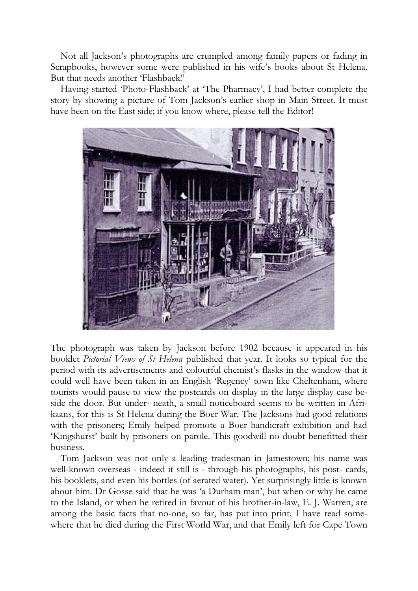Not all Jackson's photographs are crumpled among family papers or fading in Scrapbooks, however some were published in his wife's books about St Helena. But that needs another 'Flashback!'

Having started 'Photo-Flashback' at 'The Pharmacy', I had better complete the story by showing a picture of Tom Jackson's earlier shop in Main Street. It must have been on the East side; if you know where, please tell the Editor!



The photograph was taken by Jackson before 1902 because it appeared in his booklet *Pictorial Views of St Helena* published that year. It looks so typical for the period with its advertisements and colourful chemist's flasks in the window that it could well have been taken in an English 'Regency' town like Cheltenham, where tourists would pause to view the postcards on display in the large display case beside the door. But under- neath, a small noticeboard seems to be written in Afrikaans, for this is St Helena during the Boer War. The Jacksons had good relations with the prisoners; Emily helped promote a Boer handicraft exhibition and had 'Kingshurst' built by prisoners on parole. This goodwill no doubt benefitted their business.

Tom Jackson was not only a leading tradesman in Jamestown; his name was well-known overseas - indeed it still is - through his photographs, his post- cards, his booklets, and even his bottles (of aerated water). Yet surprisingly little is known about him. Dr Gosse said that he was 'a Durham man', but when or why he came to the Island, or when he retired in favour of his brother-in-law, E. J. Warren, are among the basic facts that no-one, so far, has put into print. I have read somewhere that he died during the First World War, and that Emily left for Cape Town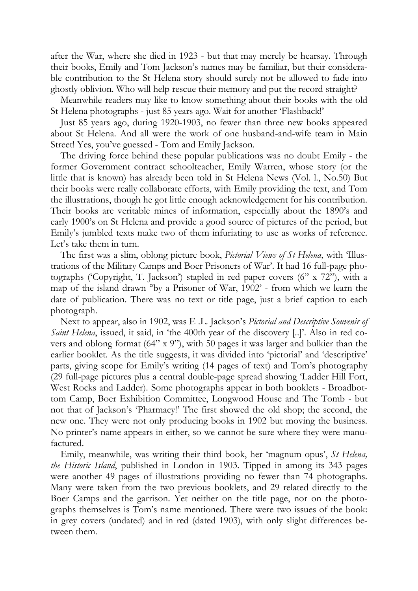after the War, where she died in 1923 - but that may merely be hearsay. Through their books, Emily and Tom Jackson's names may be familiar, but their considerable contribution to the St Helena story should surely not be allowed to fade into ghostly oblivion. Who will help rescue their memory and put the record straight?

Meanwhile readers may like to know something about their books with the old St Helena photographs - just 85 years ago. Wait for another 'Flashback!'

Just 85 years ago, during 1920-1903, no fewer than three new books appeared about St Helena. And all were the work of one husband-and-wife team in Main Street! Yes, you've guessed - Tom and Emily Jackson.

The driving force behind these popular publications was no doubt Emily - the former Government contract schoolteacher, Emily Warren, whose story (or the little that is known) has already been told in St Helena News (Vol. l., No.50) But their books were really collaborate efforts, with Emily providing the text, and Tom the illustrations, though he got little enough acknowledgement for his contribution. Their books are veritable mines of information, especially about the 1890's and early 1900's on St Helena and provide a good source of pictures of the period, but Emily's jumbled texts make two of them infuriating to use as works of reference. Let's take them in turn.

The first was a slim, oblong picture book, *Pictorial Views of St Helena*, with 'Illustrations of the Military Camps and Boer Prisoners of War'. It had 16 full-page photographs ('Copyright, T. Jackson') stapled in red paper covers (6" x 72"), with a map of the island drawn °by a Prisoner of War, 1902' - from which we learn the date of publication. There was no text or title page, just a brief caption to each photograph.

Next to appear, also in 1902, was E .L. Jackson's *Pictorial and Descriptive Souvenir of Saint Helena*, issued, it said, in 'the 400th year of the discovery [..]'. Also in red covers and oblong format (64" x 9"), with 50 pages it was larger and bulkier than the earlier booklet. As the title suggests, it was divided into 'pictorial' and 'descriptive' parts, giving scope for Emily's writing (14 pages of text) and Tom's photography (29 full-page pictures plus a central double-page spread showing 'Ladder Hill Fort, West Rocks and Ladder). Some photographs appear in both booklets - Broadbottom Camp, Boer Exhibition Committee, Longwood House and The Tomb - but not that of Jackson's 'Pharmacy!' The first showed the old shop; the second, the new one. They were not only producing books in 1902 but moving the business. No printer's name appears in either, so we cannot be sure where they were manufactured.

Emily, meanwhile, was writing their third book, her 'magnum opus', *St Helena, the Historic Island*, published in London in 1903. Tipped in among its 343 pages were another 49 pages of illustrations providing no fewer than 74 photographs. Many were taken from the two previous booklets, and 29 related directly to the Boer Camps and the garrison. Yet neither on the title page, nor on the photographs themselves is Tom's name mentioned. There were two issues of the book: in grey covers (undated) and in red (dated 1903), with only slight differences between them.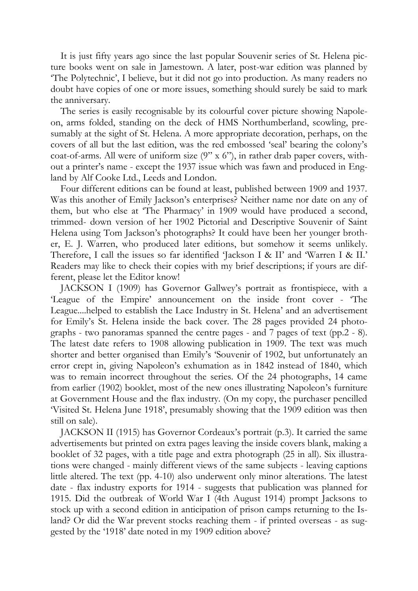It is just fifty years ago since the last popular Souvenir series of St. Helena picture books went on sale in Jamestown. A later, post-war edition was planned by 'The Polytechnic', I believe, but it did not go into production. As many readers no doubt have copies of one or more issues, something should surely be said to mark the anniversary.

The series is easily recognisable by its colourful cover picture showing Napoleon, arms folded, standing on the deck of HMS Northumberland, scowling, presumably at the sight of St. Helena. A more appropriate decoration, perhaps, on the covers of all but the last edition, was the red embossed 'seal' bearing the colony's coat-of-arms. All were of uniform size (9" x 6"), in rather drab paper covers, without a printer's name - except the 1937 issue which was fawn and produced in England by Alf Cooke Ltd., Leeds and London.

Four different editions can be found at least, published between 1909 and 1937. Was this another of Emily Jackson's enterprises? Neither name nor date on any of them, but who else at 'The Pharmacy' in 1909 would have produced a second, trimmed- down version of her 1902 Pictorial and Descriptive Souvenir of Saint Helena using Tom Jackson's photographs? It could have been her younger brother, E. J. Warren, who produced later editions, but somehow it seems unlikely. Therefore, I call the issues so far identified 'Jackson I & II' and 'Warren I & II.' Readers may like to check their copies with my brief descriptions; if yours are different, please let the Editor know!

JACKSON I (1909) has Governor Gallwey's portrait as frontispiece, with a 'League of the Empire' announcement on the inside front cover - 'The League....helped to establish the Lace Industry in St. Helena' and an advertisement for Emily's St. Helena inside the back cover. The 28 pages provided 24 photographs - two panoramas spanned the centre pages - and 7 pages of text (pp.2 - 8). The latest date refers to 1908 allowing publication in 1909. The text was much shorter and better organised than Emily's 'Souvenir of 1902, but unfortunately an error crept in, giving Napoleon's exhumation as in 1842 instead of 1840, which was to remain incorrect throughout the series. Of the 24 photographs, 14 came from earlier (1902) booklet, most of the new ones illustrating Napoleon's furniture at Government House and the flax industry. (On my copy, the purchaser pencilled 'Visited St. Helena June 1918', presumably showing that the 1909 edition was then still on sale).

JACKSON II (1915) has Governor Cordeaux's portrait (p.3). It carried the same advertisements but printed on extra pages leaving the inside covers blank, making a booklet of 32 pages, with a title page and extra photograph (25 in all). Six illustrations were changed - mainly different views of the same subjects - leaving captions little altered. The text (pp. 4-10) also underwent only minor alterations. The latest date - flax industry exports for 1914 - suggests that publication was planned for 1915. Did the outbreak of World War I (4th August 1914) prompt Jacksons to stock up with a second edition in anticipation of prison camps returning to the Island? Or did the War prevent stocks reaching them - if printed overseas - as suggested by the '1918' date noted in my 1909 edition above?